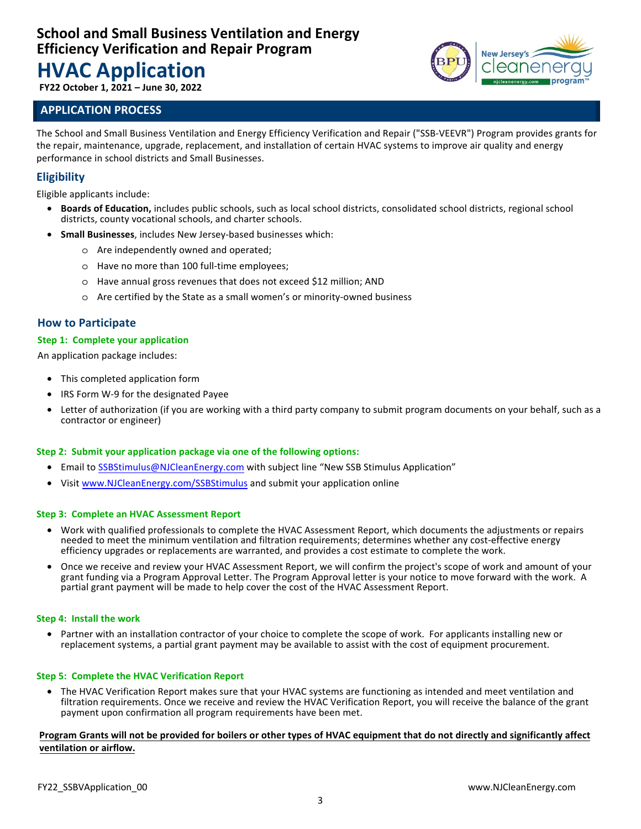# **HVAC Application**

**FY22 October 1, 2021 – June 30, 2022**

### **APPLICATION PROCESS**

**New Jersey's** 

The School and Small Business Ventilation and Energy Efficiency Verification and Repair ("SSB-VEEVR") Program provides grants for the repair, maintenance, upgrade, replacement, and installation of certain HVAC systems to improve air quality and energy performance in school districts and Small Businesses.

### **Eligibility**

Eligible applicants include:

- **Boards of Education,** includes public schools, such as local school districts, consolidated school districts, regional school districts, county vocational schools, and charter schools.
- **Small Businesses**, includes New Jersey-based businesses which:
	- o Are independently owned and operated;
	- o Have no more than 100 full-time employees;
	- o Have annual gross revenues that does not exceed \$12 million; AND
	- o Are certified by the State as a small women's or minority-owned business

### **How to Participate**

#### **Step 1: Complete your application**

An application package includes:

- This completed application form
- IRS Form W-9 for the designated Payee
- Letter of authorization (if you are working with a third party company to submit program documents on your behalf, such as a contractor or engineer)

### **Step 2: Submit your application package via one of the following options:**

- Email to <SSBStimulus@NJCleanEnergy.com> with subject line "New SSB Stimulus Application"
- Visit<www.NJCleanEnergy.com/SSBStimulus>and submit your application online

#### **Step 3: Complete an HVAC Assessment Report**

- Work with qualified professionals to complete the HVAC Assessment Report, which documents the adjustments or repairs needed to meet the minimum ventilation and filtration requirements; determines whether any cost-effective energy efficiency upgrades or replacements are warranted, and provides a cost estimate to complete the work.
- Once we receive and review your HVAC Assessment Report, we will confirm the project's scope of work and amount of your grant funding via a Program Approval Letter. The Program Approval letter is your notice to move forward with the work. A partial grant payment will be made to help cover the cost of the HVAC Assessment Report.

#### **Step 4: Install the work**

• Partner with an installation contractor of your choice to complete the scope of work. For applicants installing new or replacement systems, a partial grant payment may be available to assist with the cost of equipment procurement.

### **Step 5: Complete the HVAC Verification Report**

• The HVAC Verification Report makes sure that your HVAC systems are functioning as intended and meet ventilation and filtration requirements. Once we receive and review the HVAC Verification Report, you will receive the balance of the grant payment upon confirmation all program requirements have been met.

#### **Program Grants will not be provided for boilers or other types of HVAC equipment that do not directly and significantly affect ventilation or airflow.**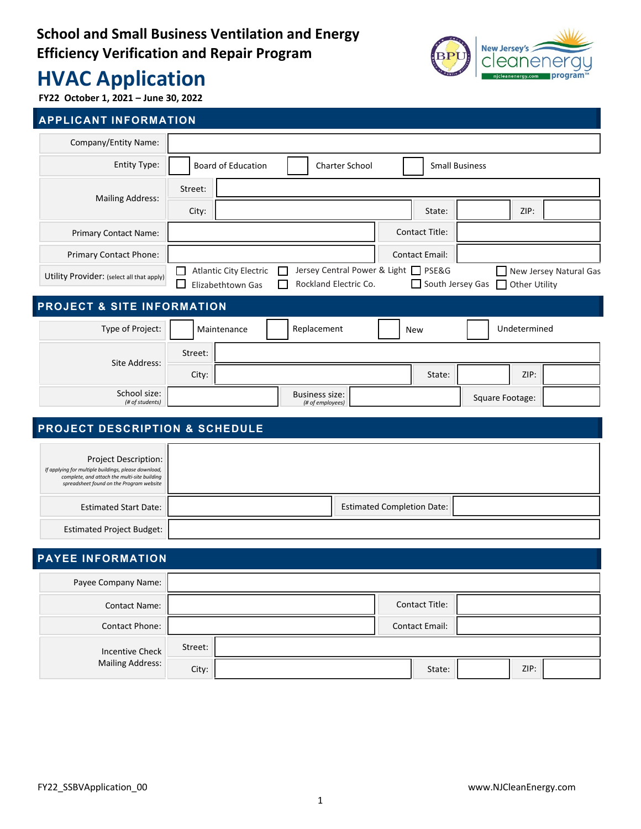

# **HVAC Application**

**FY22 October 1, 2021 – June 30, 2022**

### **APPLICANT INFORMATION**

| Company/Entity Name:                      |                                      |                                                                                             |                                           |  |                                                                                                    |                 |              |  |
|-------------------------------------------|--------------------------------------|---------------------------------------------------------------------------------------------|-------------------------------------------|--|----------------------------------------------------------------------------------------------------|-----------------|--------------|--|
| Entity Type:                              | Board of Education<br>Charter School |                                                                                             |                                           |  | <b>Small Business</b>                                                                              |                 |              |  |
| <b>Mailing Address:</b>                   | Street:                              |                                                                                             |                                           |  |                                                                                                    |                 |              |  |
|                                           | City:                                |                                                                                             |                                           |  | State:                                                                                             |                 | ZIP:         |  |
| Primary Contact Name:                     |                                      |                                                                                             |                                           |  | <b>Contact Title:</b>                                                                              |                 |              |  |
| Primary Contact Phone:                    |                                      |                                                                                             |                                           |  | <b>Contact Email:</b>                                                                              |                 |              |  |
| Utility Provider: (select all that apply) | l 1                                  | <b>Atlantic City Electric</b><br>$\mathbf{I}$<br>Rockland Electric Co.<br>Elizabethtown Gas |                                           |  | Jersey Central Power & Light □ PSE&G<br>New Jersey Natural Gas<br>South Jersey Gas   Other Utility |                 |              |  |
| <b>PROJECT &amp; SITE INFORMATION</b>     |                                      |                                                                                             |                                           |  |                                                                                                    |                 |              |  |
| Type of Project:                          |                                      | Replacement<br>Maintenance                                                                  |                                           |  | <b>New</b>                                                                                         |                 | Undetermined |  |
| Site Address:                             | Street:                              |                                                                                             |                                           |  |                                                                                                    |                 |              |  |
|                                           | City:                                |                                                                                             |                                           |  | State:                                                                                             |                 | ZIP:         |  |
| School size:<br>(# of students)           |                                      |                                                                                             | <b>Business size:</b><br>(# of employees) |  |                                                                                                    | Square Footage: |              |  |
|                                           |                                      |                                                                                             |                                           |  |                                                                                                    |                 |              |  |

### **PROJECT DESCRIPTION & SCHEDULE**

| Project Description:<br>If applying for multiple buildings, please download,<br>complete, and attach the multi-site building<br>spreadsheet found on the Program website |                                   |
|--------------------------------------------------------------------------------------------------------------------------------------------------------------------------|-----------------------------------|
| <b>Estimated Start Date:</b>                                                                                                                                             | <b>Estimated Completion Date:</b> |
| <b>Estimated Project Budget:</b>                                                                                                                                         |                                   |

### **PAYEE INFORMATION**

| Payee Company Name:                               |         |  |                       |      |  |
|---------------------------------------------------|---------|--|-----------------------|------|--|
| <b>Contact Name:</b>                              |         |  | <b>Contact Title:</b> |      |  |
| <b>Contact Phone:</b>                             |         |  | <b>Contact Email:</b> |      |  |
| <b>Incentive Check</b><br><b>Mailing Address:</b> | Street: |  |                       |      |  |
|                                                   | City:   |  | State:                | ZIP: |  |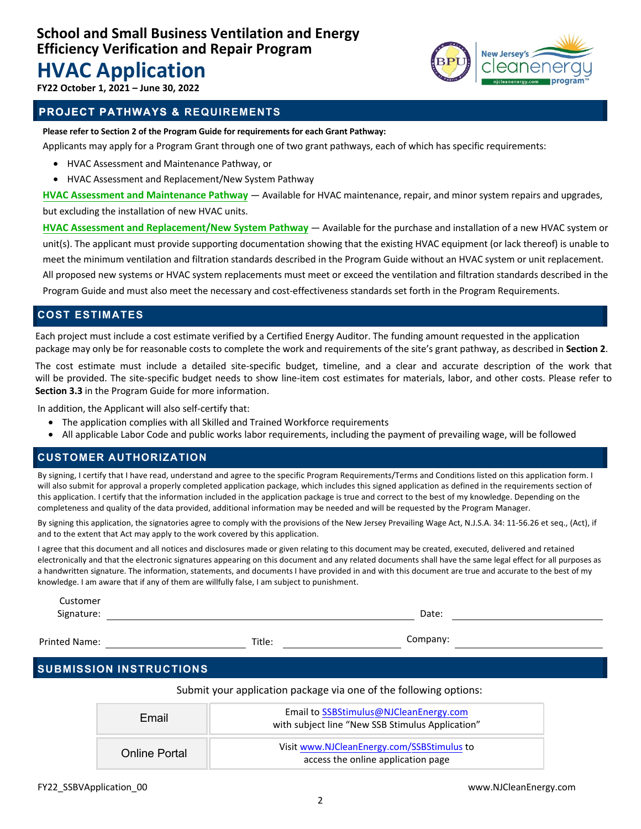## **HVAC Application**



**FY22 October 1, 2021 – June 30, 2022**

### **PROJECT PATHWAYS & & REQUIREMENTS**

**Please refer to Section 2 of the Program Guide for requirements for each Grant Pathway:**

Applicants may apply for a Program Grant through one of two grant pathways, each of which has specific requirements:

- HVAC Assessment and Maintenance Pathway, or
- HVAC Assessment and Replacement/New System Pathway

**HVAC Assessment and Maintenance Pathway** — Available for HVAC maintenance, repair, and minor system repairs and upgrades, but excluding the installation of new HVAC units.

**HVAC Assessment and Replacement/New System Pathway** — Available for the purchase and installation of a new HVAC system or unit(s). The applicant must provide supporting documentation showing that the existing HVAC equipment (or lack thereof) is unable to meet the minimum ventilation and filtration standards described in the Program Guide without an HVAC system or unit replacement. All proposed new systems or HVAC system replacements must meet or exceed the ventilation and filtration standards described in the Program Guide and must also meet the necessary and cost-effectiveness standards set forth in the Program Requirements.

### **COST ESTIMATES**

Each project must include a cost estimate verified by a Certified Energy Auditor. The funding amount requested in the application package may only be for reasonable costs to complete the work and requirements of the site's grant pathway, as described in **Section 2**.

The cost estimate must include a detailed site-specific budget, timeline, and a clear and accurate description of the work that will be provided. The site-specific budget needs to show line-item cost estimates for materials, labor, and other costs. Please refer to **Section 3.3** in the Program Guide for more information.

In addition, the Applicant will also self-certify that:

- The application complies with all Skilled and Trained Workforce requirements
- All applicable Labor Code and public works labor requirements, including the payment of prevailing wage, will be followed

### **CUSTOMER AUTHORIZATION**

By signing, I certify that I have read, understand and agree to the specific Program Requirements/Terms and Conditions listed on this application form. I will also submit for approval a properly completed application package, which includes this signed application as defined in the requirements section of this application. I certify that the information included in the application package is true and correct to the best of my knowledge. Depending on the completeness and quality of the data provided, additional information may be needed and will be requested by the Program Manager.

By signing this application, the signatories agree to comply with the provisions of the New Jersey Prevailing Wage Act, N.J.S.A. 34: 11-56.26 et seq., (Act), if and to the extent that Act may apply to the work covered by this application.

I agree that this document and all notices and disclosures made or given relating to this document may be created, executed, delivered and retained electronically and that the electronic signatures appearing on this document and any related documents shall have the same legal effect for all purposes as a handwritten signature. The information, statements, and documents I have provided in and with this document are true and accurate to the best of my knowledge. I am aware that if any of them are willfully false, I am subject to punishment.

| Customer   |       |  |
|------------|-------|--|
| Signature: | Date: |  |
|            |       |  |

Printed Name: Title: Title: Company: Title:

### **SUBMISSION INSTRUCTIONS**

Submit your application package via one of the following options:

| Fmail                | Email to SSBStimulus@NJCleanEnergy.com<br>with subject line "New SSB Stimulus Application" |
|----------------------|--------------------------------------------------------------------------------------------|
| <b>Online Portal</b> | Visit www.NJCleanEnergy.com/SSBStimulus to<br>access the online application page           |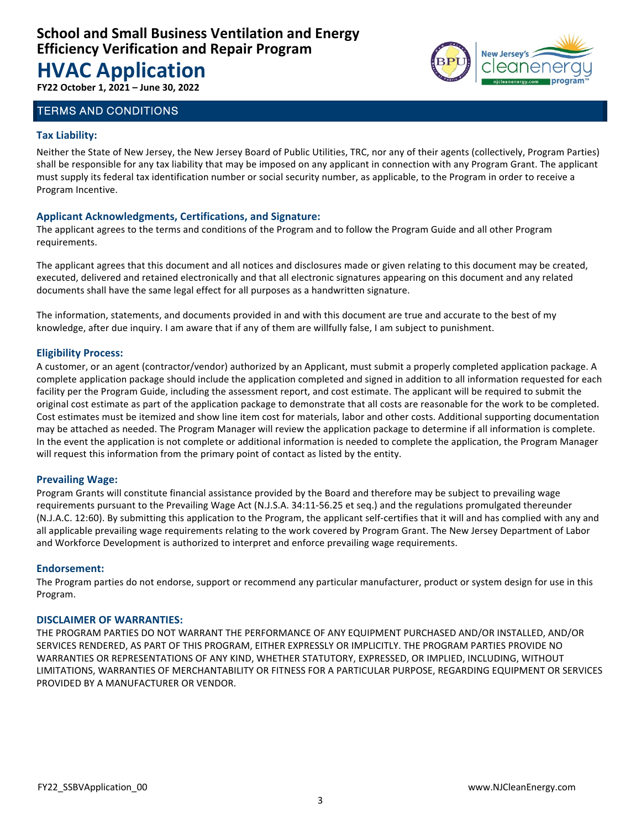# **HVAC Application**

**FY22 October 1, 2021 – June 30, 2022**

### TERMS AND CONDITIONS

### **Tax Liability:**

Neither the State of New Jersey, the New Jersey Board of Public Utilities, TRC, nor any of their agents (collectively, Program Parties) shall be responsible for any tax liability that may be imposed on any applicant in connection with any Program Grant. The applicant must supply its federal tax identification number or social security number, as applicable, to the Program in order to receive a Program Incentive.

### **Applicant Acknowledgments, Certifications, and Signature:**

The applicant agrees to the terms and conditions of the Program and to follow the Program Guide and all other Program requirements.

The applicant agrees that this document and all notices and disclosures made or given relating to this document may be created, executed, delivered and retained electronically and that all electronic signatures appearing on this document and any related documents shall have the same legal effect for all purposes as a handwritten signature.

The information, statements, and documents provided in and with this document are true and accurate to the best of my knowledge, after due inquiry. I am aware that if any of them are willfully false, I am subject to punishment.

### **Eligibility Process:**

A customer, or an agent (contractor/vendor) authorized by an Applicant, must submit a properly completed application package. A complete application package should include the application completed and signed in addition to all information requested for each facility per the Program Guide, including the assessment report, and cost estimate. The applicant will be required to submit the original cost estimate as part of the application package to demonstrate that all costs are reasonable for the work to be completed. Cost estimates must be itemized and show line item cost for materials, labor and other costs. Additional supporting documentation may be attached as needed. The Program Manager will review the application package to determine if all information is complete. In the event the application is not complete or additional information is needed to complete the application, the Program Manager will request this information from the primary point of contact as listed by the entity.

### **Prevailing Wage:**

Program Grants will constitute financial assistance provided by the Board and therefore may be subject to prevailing wage requirements pursuant to the Prevailing Wage Act (N.J.S.A. 34:11-56.25 et seq.) and the regulations promulgated thereunder (N.J.A.C. 12:60). By submitting this application to the Program, the applicant self-certifies that it will and has complied with any and all applicable prevailing wage requirements relating to the work covered by Program Grant. The New Jersey Department of Labor and Workforce Development is authorized to interpret and enforce prevailing wage requirements.

### **Endorsement:**

The Program parties do not endorse, support or recommend any particular manufacturer, product or system design for use in this Program.

#### **DISCLAIMER OF WARRANTIES:**

THE PROGRAM PARTIES DO NOT WARRANT THE PERFORMANCE OF ANY EQUIPMENT PURCHASED AND/OR INSTALLED, AND/OR SERVICES RENDERED, AS PART OF THIS PROGRAM, EITHER EXPRESSLY OR IMPLICITLY. THE PROGRAM PARTIES PROVIDE NO WARRANTIES OR REPRESENTATIONS OF ANY KIND, WHETHER STATUTORY, EXPRESSED, OR IMPLIED, INCLUDING, WITHOUT LIMITATIONS, WARRANTIES OF MERCHANTABILITY OR FITNESS FOR A PARTICULAR PURPOSE, REGARDING EQUIPMENT OR SERVICES PROVIDED BY A MANUFACTURER OR VENDOR.